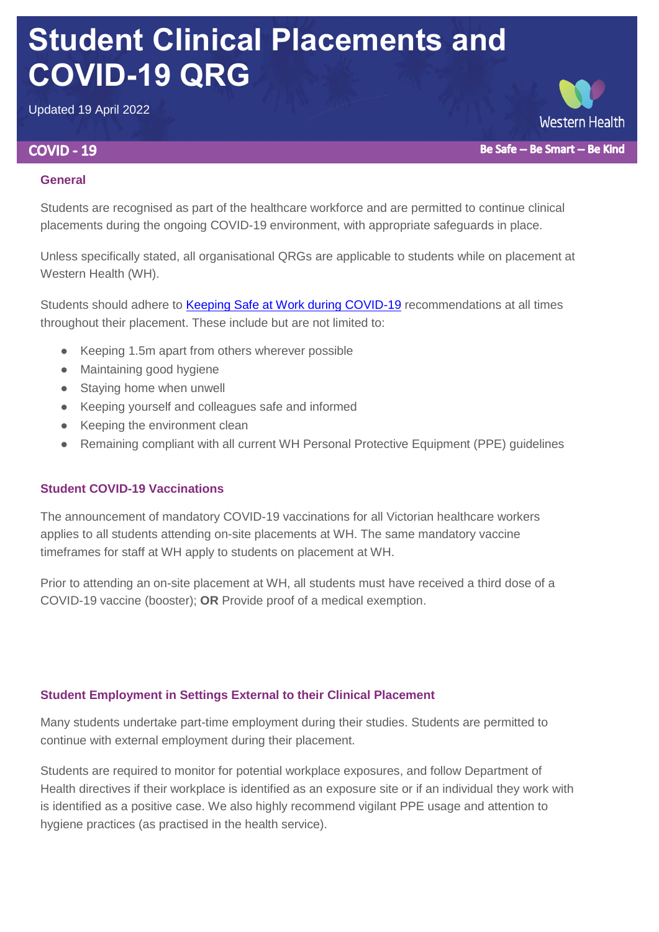# **Student Clinical Placements and COVID-19 QRG**

Updated 19 April 2022

# **COVID - 19**

**Western Health** Be Safe -- Be Smart -- Be Kind

## **General**

Students are recognised as part of the healthcare workforce and are permitted to continue clinical placements during the ongoing COVID-19 environment, with appropriate safeguards in place.

Unless specifically stated, all organisational QRGs are applicable to students while on placement at Western Health (WH).

Students should adhere to **Keeping Safe at Work during COVID-19** recommendations at all times throughout their placement. These include but are not limited to:

- Keeping 1.5m apart from others wherever possible
- Maintaining good hygiene
- Staying home when unwell
- Keeping yourself and colleagues safe and informed
- Keeping the environment clean
- Remaining compliant with all current WH Personal Protective Equipment (PPE) quidelines

# **Student COVID-19 Vaccinations**

The announcement of mandatory COVID-19 vaccinations for all Victorian healthcare workers applies to all students attending on-site placements at WH. The same mandatory vaccine timeframes for staff at WH apply to students on placement at WH.

Prior to attending an on-site placement at WH, all students must have received a third dose of a COVID-19 vaccine (booster); **OR** Provide proof of a medical exemption.

# **Student Employment in Settings External to their Clinical Placement**

Many students undertake part-time employment during their studies. Students are permitted to continue with external employment during their placement.

Students are required to monitor for potential workplace exposures, and follow Department of Health directives if their workplace is identified as an exposure site or if an individual they work with is identified as a positive case. We also highly recommend vigilant PPE usage and attention to hygiene practices (as practised in the health service).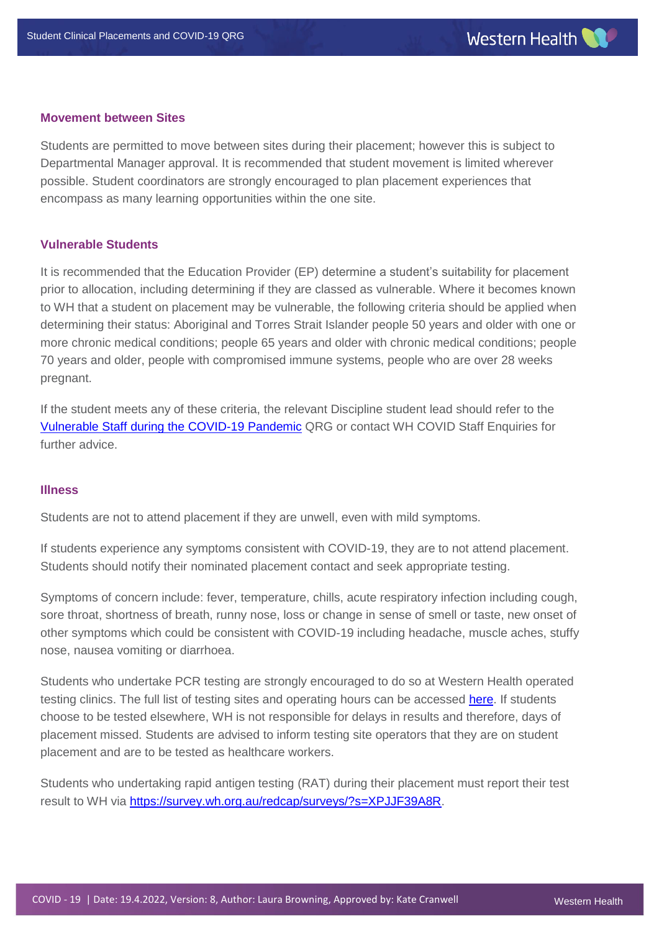#### **Movement between Sites**

Students are permitted to move between sites during their placement; however this is subject to Departmental Manager approval. It is recommended that student movement is limited wherever possible. Student coordinators are strongly encouraged to plan placement experiences that encompass as many learning opportunities within the one site.

#### **Vulnerable Students**

It is recommended that the Education Provider (EP) determine a student's suitability for placement prior to allocation, including determining if they are classed as vulnerable. Where it becomes known to WH that a student on placement may be vulnerable, the following criteria should be applied when determining their status: Aboriginal and Torres Strait Islander people 50 years and older with one or more chronic medical conditions; people 65 years and older with chronic medical conditions; people 70 years and older, people with compromised immune systems, people who are over 28 weeks pregnant.

If the student meets any of these criteria, the relevant Discipline student lead should refer to the [Vulnerable Staff during the COVID-19 Pandemic](https://coronavirus.wh.org.au/wp-content/uploads/2021/10/Vulnerable-staff-during-the-COVID-19-Pandemic-QRG-V5-12.10.2021-1.pdf) QRG or contact WH COVID Staff Enquiries for further advice.

#### **Illness**

Students are not to attend placement if they are unwell, even with mild symptoms.

If students experience any symptoms consistent with COVID-19, they are to not attend placement. Students should notify their nominated placement contact and seek appropriate testing.

Symptoms of concern include: fever, temperature, chills, acute respiratory infection including cough, sore throat, shortness of breath, runny nose, loss or change in sense of smell or taste, new onset of other symptoms which could be consistent with COVID-19 including headache, muscle aches, stuffy nose, nausea vomiting or diarrhoea.

Students who undertake PCR testing are strongly encouraged to do so at Western Health operated testing clinics. The full list of testing sites and operating hours can be accessed [here.](https://coronavirus.wh.org.au/covid-testing-clinics-and-staff-enquiries/) If students choose to be tested elsewhere, WH is not responsible for delays in results and therefore, days of placement missed. Students are advised to inform testing site operators that they are on student placement and are to be tested as healthcare workers.

Students who undertaking rapid antigen testing (RAT) during their placement must report their test result to WH via [https://survey.wh.org.au/redcap/surveys/?s=XPJJF39A8R.](https://survey.wh.org.au/redcap/surveys/?s=XPJJF39A8R)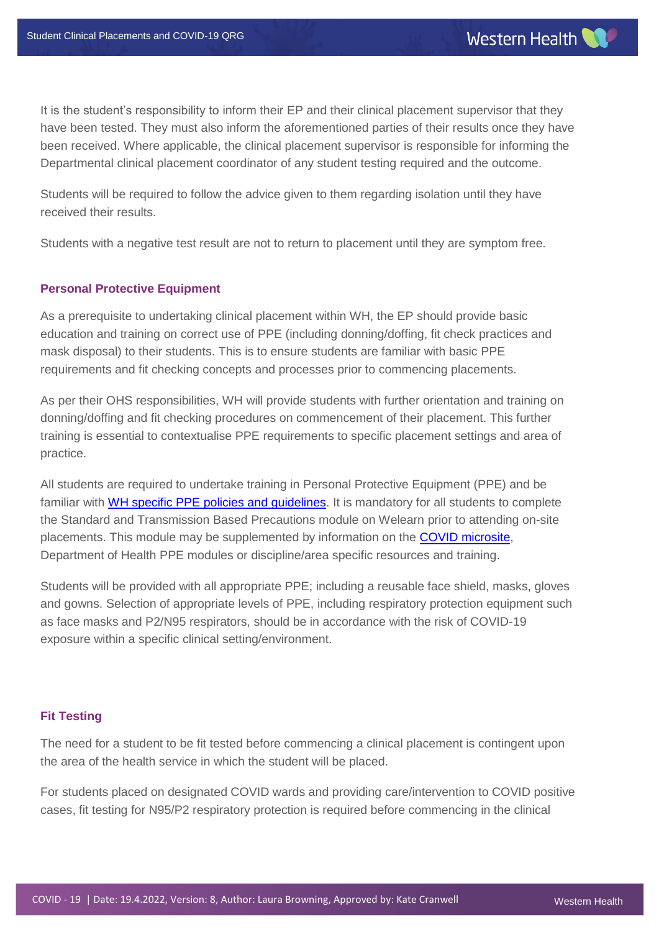It is the student's responsibility to inform their EP and their clinical placement supervisor that they have been tested. They must also inform the aforementioned parties of their results once they have been received. Where applicable, the clinical placement supervisor is responsible for informing the Departmental clinical placement coordinator of any student testing required and the outcome.

Students will be required to follow the advice given to them regarding isolation until they have received their results.

Students with a negative test result are not to return to placement until they are symptom free.

#### **Personal Protective Equipment**

As a prerequisite to undertaking clinical placement within WH, the EP should provide basic education and training on correct use of PPE (including donning/doffing, fit check practices and mask disposal) to their students. This is to ensure students are familiar with basic PPE requirements and fit checking concepts and processes prior to commencing placements.

As per their OHS responsibilities, WH will provide students with further orientation and training on donning/doffing and fit checking procedures on commencement of their placement. This further training is essential to contextualise PPE requirements to specific placement settings and area of practice.

All students are required to undertake training in Personal Protective Equipment (PPE) and be familiar with [WH specific PPE policies and guidelines.](https://coronavirus.wh.org.au/ppe/) It is mandatory for all students to complete the Standard and Transmission Based Precautions module on Welearn prior to attending on-site placements. This module may be supplemented by information on the [COVID microsite,](https://coronavirus.wh.org.au/) Department of Health PPE modules or discipline/area specific resources and training.

Students will be provided with all appropriate PPE; including a reusable face shield, masks, gloves and gowns. Selection of appropriate levels of PPE, including respiratory protection equipment such as face masks and P2/N95 respirators, should be in accordance with the risk of COVID-19 exposure within a specific clinical setting/environment.

#### **Fit Testing**

The need for a student to be fit tested before commencing a clinical placement is contingent upon the area of the health service in which the student will be placed.

For students placed on designated COVID wards and providing care/intervention to COVID positive cases, fit testing for N95/P2 respiratory protection is required before commencing in the clinical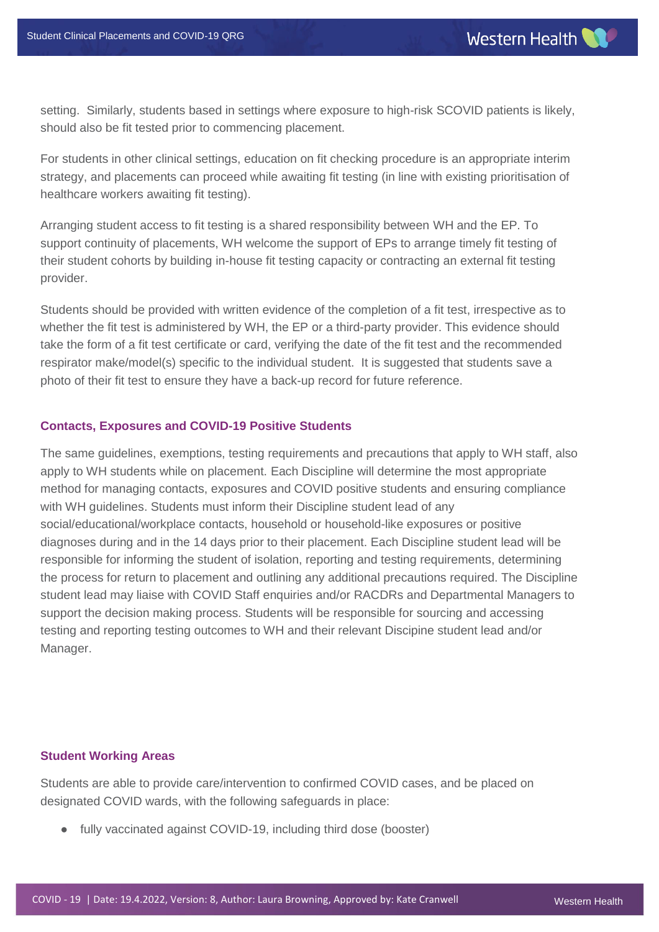setting. Similarly, students based in settings where exposure to high-risk SCOVID patients is likely, should also be fit tested prior to commencing placement.

For students in other clinical settings, education on fit checking procedure is an appropriate interim strategy, and placements can proceed while awaiting fit testing (in line with existing prioritisation of healthcare workers awaiting fit testing).

Arranging student access to fit testing is a shared responsibility between WH and the EP. To support continuity of placements, WH welcome the support of EPs to arrange timely fit testing of their student cohorts by building in-house fit testing capacity or contracting an external fit testing provider.

Students should be provided with written evidence of the completion of a fit test, irrespective as to whether the fit test is administered by WH, the EP or a third-party provider. This evidence should take the form of a fit test certificate or card, verifying the date of the fit test and the recommended respirator make/model(s) specific to the individual student. It is suggested that students save a photo of their fit test to ensure they have a back-up record for future reference.

#### **Contacts, Exposures and COVID-19 Positive Students**

The same guidelines, exemptions, testing requirements and precautions that apply to WH staff, also apply to WH students while on placement. Each Discipline will determine the most appropriate method for managing contacts, exposures and COVID positive students and ensuring compliance with WH guidelines. Students must inform their Discipline student lead of any social/educational/workplace contacts, household or household-like exposures or positive diagnoses during and in the 14 days prior to their placement. Each Discipline student lead will be responsible for informing the student of isolation, reporting and testing requirements, determining the process for return to placement and outlining any additional precautions required. The Discipline student lead may liaise with COVID Staff enquiries and/or RACDRs and Departmental Managers to support the decision making process. Students will be responsible for sourcing and accessing testing and reporting testing outcomes to WH and their relevant Discipine student lead and/or Manager.

#### **Student Working Areas**

Students are able to provide care/intervention to confirmed COVID cases, and be placed on designated COVID wards, with the following safeguards in place:

● fully vaccinated against COVID-19, including third dose (booster)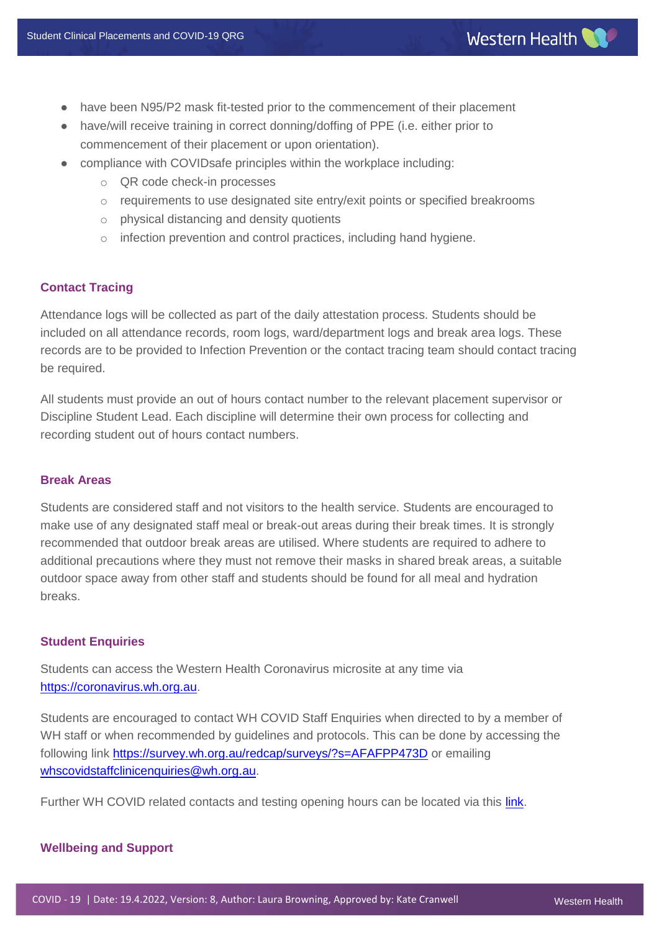- have been N95/P2 mask fit-tested prior to the commencement of their placement
- have/will receive training in correct donning/doffing of PPE (i.e. either prior to commencement of their placement or upon orientation).
- compliance with COVIDsafe principles within the workplace including:
	- o QR code check-in processes
	- $\circ$  requirements to use designated site entry/exit points or specified breakrooms
	- o physical distancing and density quotients
	- o infection prevention and control practices, including hand hygiene.

## **Contact Tracing**

Attendance logs will be collected as part of the daily attestation process. Students should be included on all attendance records, room logs, ward/department logs and break area logs. These records are to be provided to Infection Prevention or the contact tracing team should contact tracing be required.

All students must provide an out of hours contact number to the relevant placement supervisor or Discipline Student Lead. Each discipline will determine their own process for collecting and recording student out of hours contact numbers.

# **Break Areas**

Students are considered staff and not visitors to the health service. Students are encouraged to make use of any designated staff meal or break-out areas during their break times. It is strongly recommended that outdoor break areas are utilised. Where students are required to adhere to additional precautions where they must not remove their masks in shared break areas, a suitable outdoor space away from other staff and students should be found for all meal and hydration breaks.

#### **Student Enquiries**

Students can access the Western Health Coronavirus microsite at any time via [https://coronavirus.wh.org.au.](https://coronavirus.wh.org.au/)

Students are encouraged to contact WH COVID Staff Enquiries when directed to by a member of WH staff or when recommended by guidelines and protocols. This can be done by accessing the following link<https://survey.wh.org.au/redcap/surveys/?s=AFAFPP473D> or emailing [whscovidstaffclinicenquiries@wh.org.au.](mailto:whscovidstaffclinicenquiries@wh.org.au)

Further WH COVID related contacts and testing opening hours can be located via this *link*.

#### **Wellbeing and Support**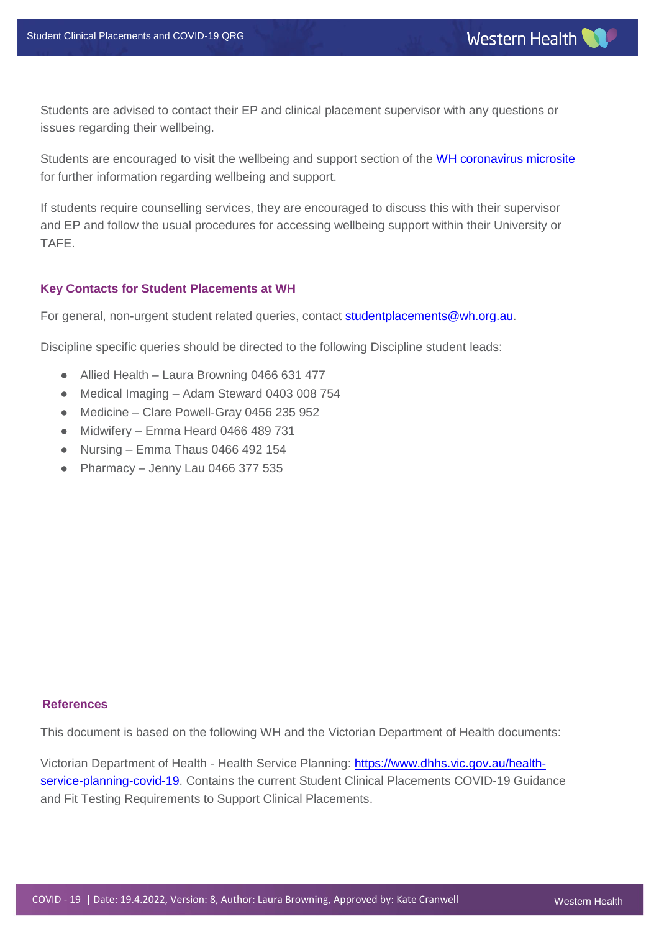Students are advised to contact their EP and clinical placement supervisor with any questions or issues regarding their wellbeing.

Students are encouraged to visit the wellbeing and support section of the [WH coronavirus microsite](https://coronavirus.wh.org.au/wellbeing-support/) for further information regarding wellbeing and support.

If students require counselling services, they are encouraged to discuss this with their supervisor and EP and follow the usual procedures for accessing wellbeing support within their University or TAFE.

## **Key Contacts for Student Placements at WH**

For general, non-urgent student related queries, contact [studentplacements@wh.org.au.](mailto:studentplacements@wh.org.au)

Discipline specific queries should be directed to the following Discipline student leads:

- Allied Health Laura Browning 0466 631 477
- Medical Imaging Adam Steward 0403 008 754
- Medicine Clare Powell-Gray 0456 235 952
- Midwifery Emma Heard 0466 489 731
- Nursing Emma Thaus 0466 492 154
- Pharmacy Jenny Lau 0466 377 535

#### **References**

This document is based on the following WH and the Victorian Department of Health documents:

Victorian Department of Health - Health Service Planning: [https://www.dhhs.vic.gov.au/health](https://www.dhhs.vic.gov.au/health-service-planning-covid-19)[service-planning-covid-19.](https://www.dhhs.vic.gov.au/health-service-planning-covid-19) Contains the current Student Clinical Placements COVID-19 Guidance and Fit Testing Requirements to Support Clinical Placements.